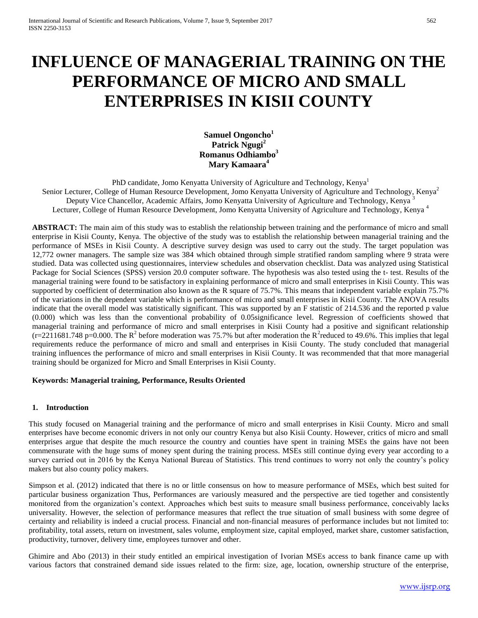# **INFLUENCE OF MANAGERIAL TRAINING ON THE PERFORMANCE OF MICRO AND SMALL ENTERPRISES IN KISII COUNTY**

**Samuel Ongoncho<sup>1</sup> Patrick Ngugi<sup>2</sup> Romanus Odhiambo<sup>3</sup> Mary Kamaara<sup>4</sup>**

PhD candidate, Jomo Kenyatta University of Agriculture and Technology, Kenya<sup>1</sup> Senior Lecturer, College of Human Resource Development, Jomo Kenyatta University of Agriculture and Technology, Kenya<sup>2</sup> Deputy Vice Chancellor, Academic Affairs, Jomo Kenyatta University of Agriculture and Technology, Kenya<sup>3</sup> Lecturer, College of Human Resource Development, Jomo Kenyatta University of Agriculture and Technology, Kenya<sup>4</sup>

**ABSTRACT:** The main aim of this study was to establish the relationship between training and the performance of micro and small enterprise in Kisii County, Kenya. The objective of the study was to establish the relationship between managerial training and the performance of MSEs in Kisii County. A descriptive survey design was used to carry out the study. The target population was 12,772 owner managers. The sample size was 384 which obtained through simple stratified random sampling where 9 strata were studied. Data was collected using questionnaires, interview schedules and observation checklist. Data was analyzed using Statistical Package for Social Sciences (SPSS) version 20.0 computer software. The hypothesis was also tested using the t- test. Results of the managerial training were found to be satisfactory in explaining performance of micro and small enterprises in Kisii County. This was supported by coefficient of determination also known as the R square of 75.7%. This means that independent variable explain 75.7% of the variations in the dependent variable which is performance of micro and small enterprises in Kisii County. The ANOVA results indicate that the overall model was statistically significant. This was supported by an F statistic of 214.536 and the reported p value (0.000) which was less than the conventional probability of 0.05significance level. Regression of coefficients showed that managerial training and performance of micro and small enterprises in Kisii County had a positive and significant relationship  $(r=2211681.748 \text{ p} = 0.000$ . The R<sup>2</sup> before moderation was 75.7% but after moderation the R<sup>2</sup> reduced to 49.6%. This implies that legal requirements reduce the performance of micro and small and enterprises in Kisii County. The study concluded that managerial training influences the performance of micro and small enterprises in Kisii County. It was recommended that that more managerial training should be organized for Micro and Small Enterprises in Kisii County.

## **Keywords: Managerial training, Performance, Results Oriented**

#### **1. Introduction**

This study focused on Managerial training and the performance of micro and small enterprises in Kisii County. Micro and small enterprises have become economic drivers in not only our country Kenya but also Kisii County. However, critics of micro and small enterprises argue that despite the much resource the country and counties have spent in training MSEs the gains have not been commensurate with the huge sums of money spent during the training process. MSEs still continue dying every year according to a survey carried out in 2016 by the Kenya National Bureau of Statistics. This trend continues to worry not only the country's policy makers but also county policy makers.

Simpson et al. (2012) indicated that there is no or little consensus on how to measure performance of MSEs, which best suited for particular business organization Thus, Performances are variously measured and the perspective are tied together and consistently monitored from the organization's context. Approaches which best suits to measure small business performance, conceivably lacks universality. However, the selection of performance measures that reflect the true situation of small business with some degree of certainty and reliability is indeed a crucial process. Financial and non-financial measures of performance includes but not limited to: profitability, total assets, return on investment, sales volume, employment size, capital employed, market share, customer satisfaction, productivity, turnover, delivery time, employees turnover and other.

Ghimire and Abo (2013) in their study entitled an empirical investigation of Ivorian MSEs access to bank finance came up with various factors that constrained demand side issues related to the firm: size, age, location, ownership structure of the enterprise,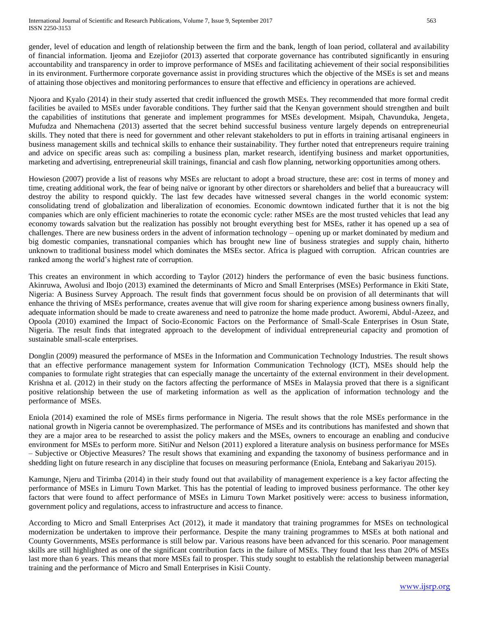gender, level of education and length of relationship between the firm and the bank, length of loan period, collateral and availability of financial information. Ijeoma and Ezejiofor (2013) asserted that corporate governance has contributed significantly in ensuring accountability and transparency in order to improve performance of MSEs and facilitating achievement of their social responsibilities in its environment. Furthermore corporate governance assist in providing structures which the objective of the MSEs is set and means of attaining those objectives and monitoring performances to ensure that effective and efficiency in operations are achieved.

Njoora and Kyalo (2014) in their study asserted that credit influenced the growth MSEs. They recommended that more formal credit facilities be availed to MSEs under favorable conditions. They further said that the Kenyan government should strengthen and built the capabilities of institutions that generate and implement programmes for MSEs development. Msipah, Chavunduka, Jengeta, Mufudza and Nhemachena (2013) asserted that the secret behind successful business venture largely depends on entrepreneurial skills. They noted that there is need for government and other relevant stakeholders to put in efforts in training artisanal engineers in business management skills and technical skills to enhance their sustainability. They further noted that entrepreneurs require training and advice on specific areas such as: compiling a business plan, market research, identifying business and market opportunities, marketing and advertising, entrepreneurial skill trainings, financial and cash flow planning, networking opportunities among others.

Howieson (2007) provide a list of reasons why MSEs are reluctant to adopt a broad structure, these are: cost in terms of money and time, creating additional work, the fear of being naïve or ignorant by other directors or shareholders and belief that a bureaucracy will destroy the ability to respond quickly. The last few decades have witnessed several changes in the world economic system: consolidating trend of globalization and liberalization of economies. Economic downtown indicated further that it is not the big companies which are only efficient machineries to rotate the economic cycle: rather MSEs are the most trusted vehicles that lead any economy towards salvation but the realization has possibly not brought everything best for MSEs, rather it has opened up a sea of challenges. There are new business orders in the advent of information technology – opening up or market dominated by medium and big domestic companies, transnational companies which has brought new line of business strategies and supply chain, hitherto unknown to traditional business model which dominates the MSEs sector. Africa is plagued with corruption. African countries are ranked among the world's highest rate of corruption.

This creates an environment in which according to Taylor (2012) hinders the performance of even the basic business functions. Akinruwa, Awolusi and Ibojo (2013) examined the determinants of Micro and Small Enterprises (MSEs) Performance in Ekiti State, Nigeria: A Business Survey Approach. The result finds that government focus should be on provision of all determinants that will enhance the thriving of MSEs performance, creates avenue that will give room for sharing experience among business owners finally, adequate information should be made to create awareness and need to patronize the home made product. Aworemi, Abdul-Azeez, and Opoola (2010) examined the Impact of Socio-Economic Factors on the Performance of Small-Scale Enterprises in Osun State, Nigeria. The result finds that integrated approach to the development of individual entrepreneurial capacity and promotion of sustainable small-scale enterprises.

Donglin (2009) measured the performance of MSEs in the Information and Communication Technology Industries. The result shows that an effective performance management system for Information Communication Technology (ICT), MSEs should help the companies to formulate right strategies that can especially manage the uncertainty of the external environment in their development. Krishna et al. (2012) in their study on the factors affecting the performance of MSEs in Malaysia proved that there is a significant positive relationship between the use of marketing information as well as the application of information technology and the performance of MSEs.

Eniola (2014) examined the role of MSEs firms performance in Nigeria. The result shows that the role MSEs performance in the national growth in Nigeria cannot be overemphasized. The performance of MSEs and its contributions has manifested and shown that they are a major area to be researched to assist the policy makers and the MSEs, owners to encourage an enabling and conducive environment for MSEs to perform more. SitiNur and Nelson (2011) explored a literature analysis on business performance for MSEs – Subjective or Objective Measures? The result shows that examining and expanding the taxonomy of business performance and in shedding light on future research in any discipline that focuses on measuring performance (Eniola, Entebang and Sakariyau 2015).

Kamunge, Njeru and Tirimba (2014) in their study found out that availability of management experience is a key factor affecting the performance of MSEs in Limuru Town Market. This has the potential of leading to improved business performance. The other key factors that were found to affect performance of MSEs in Limuru Town Market positively were: access to business information, government policy and regulations, access to infrastructure and access to finance.

According to Micro and Small Enterprises Act (2012), it made it mandatory that training programmes for MSEs on technological modernization be undertaken to improve their performance. Despite the many training programmes to MSEs at both national and County Governments, MSEs performance is still below par. Various reasons have been advanced for this scenario. Poor management skills are still highlighted as one of the significant contribution facts in the failure of MSEs. They found that less than 20% of MSEs last more than 6 years. This means that more MSEs fail to prosper. This study sought to establish the relationship between managerial training and the performance of Micro and Small Enterprises in Kisii County.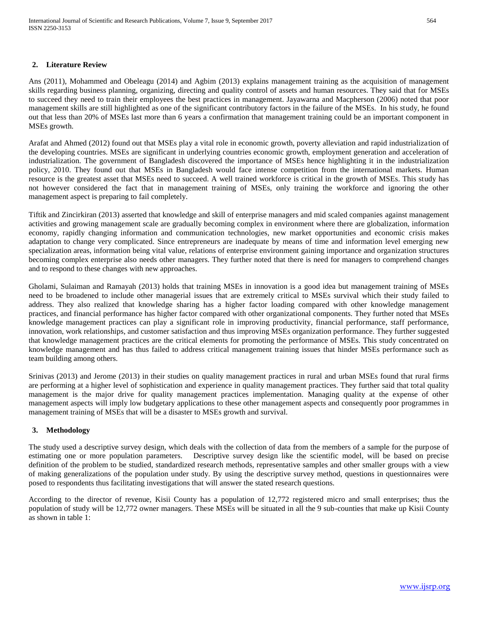## **2. Literature Review**

Ans (2011), Mohammed and Obeleagu (2014) and Agbim (2013) explains management training as the acquisition of management skills regarding business planning, organizing, directing and quality control of assets and human resources. They said that for MSEs to succeed they need to train their employees the best practices in management. Jayawarna and Macpherson (2006) noted that poor management skills are still highlighted as one of the significant contributory factors in the failure of the MSEs. In his study, he found out that less than 20% of MSEs last more than 6 years a confirmation that management training could be an important component in MSEs growth.

Arafat and Ahmed (2012) found out that MSEs play a vital role in economic growth, poverty alleviation and rapid industrialization of the developing countries. MSEs are significant in underlying countries economic growth, employment generation and acceleration of industrialization. The government of Bangladesh discovered the importance of MSEs hence highlighting it in the industrialization policy, 2010. They found out that MSEs in Bangladesh would face intense competition from the international markets. Human resource is the greatest asset that MSEs need to succeed. A well trained workforce is critical in the growth of MSEs. This study has not however considered the fact that in management training of MSEs, only training the workforce and ignoring the other management aspect is preparing to fail completely.

Tiftik and Zincirkiran (2013) asserted that knowledge and skill of enterprise managers and mid scaled companies against management activities and growing management scale are gradually becoming complex in environment where there are globalization, information economy, rapidly changing information and communication technologies, new market opportunities and economic crisis makes adaptation to change very complicated. Since entrepreneurs are inadequate by means of time and information level emerging new specialization areas, information being vital value, relations of enterprise environment gaining importance and organization structures becoming complex enterprise also needs other managers. They further noted that there is need for managers to comprehend changes and to respond to these changes with new approaches.

Gholami, Sulaiman and Ramayah (2013) holds that training MSEs in innovation is a good idea but management training of MSEs need to be broadened to include other managerial issues that are extremely critical to MSEs survival which their study failed to address. They also realized that knowledge sharing has a higher factor loading compared with other knowledge management practices, and financial performance has higher factor compared with other organizational components. They further noted that MSEs knowledge management practices can play a significant role in improving productivity, financial performance, staff performance, innovation, work relationships, and customer satisfaction and thus improving MSEs organization performance. They further suggested that knowledge management practices are the critical elements for promoting the performance of MSEs. This study concentrated on knowledge management and has thus failed to address critical management training issues that hinder MSEs performance such as team building among others.

Srinivas (2013) and Jerome (2013) in their studies on quality management practices in rural and urban MSEs found that rural firms are performing at a higher level of sophistication and experience in quality management practices. They further said that total quality management is the major drive for quality management practices implementation. Managing quality at the expense of other management aspects will imply low budgetary applications to these other management aspects and consequently poor programmes in management training of MSEs that will be a disaster to MSEs growth and survival.

## **3. Methodology**

The study used a descriptive survey design, which deals with the collection of data from the members of a sample for the purpose of estimating one or more population parameters. Descriptive survey design like the scientific model, will be based on precise definition of the problem to be studied, standardized research methods, representative samples and other smaller groups with a view of making generalizations of the population under study. By using the descriptive survey method, questions in questionnaires were posed to respondents thus facilitating investigations that will answer the stated research questions.

According to the director of revenue, Kisii County has a population of 12,772 registered micro and small enterprises; thus the population of study will be 12,772 owner managers. These MSEs will be situated in all the 9 sub-counties that make up Kisii County as shown in table 1: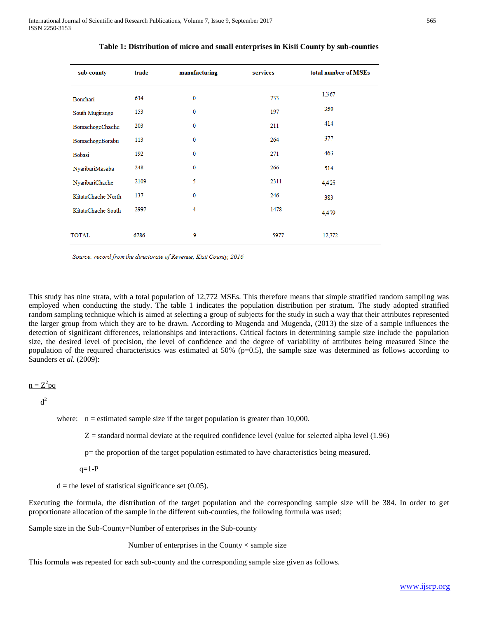| sub-county<br>trade |      | manufacturing | services | total number of MSEs |  |
|---------------------|------|---------------|----------|----------------------|--|
| Bonchari            | 634  | 0             | 733      | 1,367                |  |
| South Mugirango     | 153  | $\bf{0}$      | 197      | 350                  |  |
| BomachogeChache     | 203  | 0             | 211      | 414                  |  |
| BomachogeBorabu     | 113  | 0             | 264      | 377                  |  |
| Bobasi              | 192  | 0             | 271      | 463                  |  |
| NyaribariMasaba     | 248  | 0             | 266      | 514                  |  |
| NyaribariChache     | 2109 | 5             | 2311     | 4,425                |  |
| KitutuChache North  | 137  | 0             | 246      | 383                  |  |
| KitutuChache South  | 2997 | 4             | 1478     | 4.479                |  |
| TOTAL               | 6786 | 9             | 5977     | 12,772               |  |

**Table 1: Distribution of micro and small enterprises in Kisii County by sub-counties**

Source: record from the directorate of Revenue, Kisii County, 2016

This study has nine strata, with a total population of 12,772 MSEs. This therefore means that simple stratified random sampling was employed when conducting the study. The table 1 indicates the population distribution per stratum. The study adopted stratified random sampling technique which is aimed at selecting a group of subjects for the study in such a way that their attributes represented the larger group from which they are to be drawn. According to Mugenda and Mugenda, (2013) the size of a sample influences the detection of significant differences, relationships and interactions. Critical factors in determining sample size include the population size, the desired level of precision, the level of confidence and the degree of variability of attributes being measured Since the population of the required characteristics was estimated at  $50\%$  (p=0.5), the sample size was determined as follows according to Saunders *et al.* (2009):

$$
n = Z^2 pq
$$

 $d^2$ 

where:  $n =$  estimated sample size if the target population is greater than 10,000.

 $Z =$  standard normal deviate at the required confidence level (value for selected alpha level  $(1.96)$ )

p= the proportion of the target population estimated to have characteristics being measured.

 $q=1-P$ 

 $d =$  the level of statistical significance set (0.05).

Executing the formula, the distribution of the target population and the corresponding sample size will be 384. In order to get proportionate allocation of the sample in the different sub-counties, the following formula was used;

Sample size in the Sub-County=Number of enterprises in the Sub-county

Number of enterprises in the County  $\times$  sample size

This formula was repeated for each sub-county and the corresponding sample size given as follows.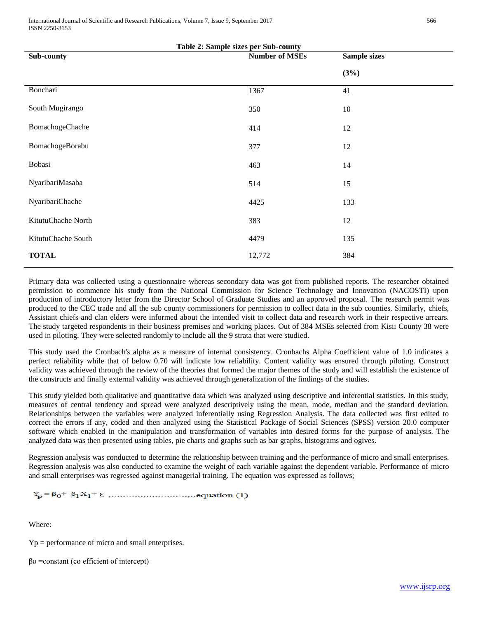International Journal of Scientific and Research Publications, Volume 7, Issue 9, September 2017 566 ISSN 2250-3153

| <b>Table 2: Sample sizes per Sub-county</b> |                       |                     |  |  |  |
|---------------------------------------------|-----------------------|---------------------|--|--|--|
| Sub-county                                  | <b>Number of MSEs</b> | <b>Sample sizes</b> |  |  |  |
|                                             |                       | (3%)                |  |  |  |
| Bonchari                                    | 1367                  | 41                  |  |  |  |
| South Mugirango                             | 350                   | 10                  |  |  |  |
| BomachogeChache                             | 414                   | 12                  |  |  |  |
| BomachogeBorabu                             | 377                   | 12                  |  |  |  |
| Bobasi                                      | 463                   | 14                  |  |  |  |
| NyaribariMasaba                             | 514                   | 15                  |  |  |  |
| NyaribariChache                             | 4425                  | 133                 |  |  |  |
| KitutuChache North                          | 383                   | 12                  |  |  |  |
| KitutuChache South                          | 4479                  | 135                 |  |  |  |
| <b>TOTAL</b>                                | 12,772                | 384                 |  |  |  |

Primary data was collected using a questionnaire whereas secondary data was got from published reports. The researcher obtained permission to commence his study from the National Commission for Science Technology and Innovation (NACOSTI) upon production of introductory letter from the Director School of Graduate Studies and an approved proposal. The research permit was produced to the CEC trade and all the sub county commissioners for permission to collect data in the sub counties. Similarly, chiefs, Assistant chiefs and clan elders were informed about the intended visit to collect data and research work in their respective arrears. The study targeted respondents in their business premises and working places. Out of 384 MSEs selected from Kisii County 38 were used in piloting. They were selected randomly to include all the 9 strata that were studied.

This study used the Cronbach's alpha as a measure of internal consistency. Cronbachs Alpha Coefficient value of 1.0 indicates a perfect reliability while that of below 0.70 will indicate low reliability. Content validity was ensured through piloting. Construct validity was achieved through the review of the theories that formed the major themes of the study and will establish the existence of the constructs and finally external validity was achieved through generalization of the findings of the studies.

This study yielded both qualitative and quantitative data which was analyzed using descriptive and inferential statistics. In this study, measures of central tendency and spread were analyzed descriptively using the mean, mode, median and the standard deviation. Relationships between the variables were analyzed inferentially using Regression Analysis. The data collected was first edited to correct the errors if any, coded and then analyzed using the Statistical Package of Social Sciences (SPSS) version 20.0 computer software which enabled in the manipulation and transformation of variables into desired forms for the purpose of analysis. The analyzed data was then presented using tables, pie charts and graphs such as bar graphs, histograms and ogives.

Regression analysis was conducted to determine the relationship between training and the performance of micro and small enterprises. Regression analysis was also conducted to examine the weight of each variable against the dependent variable. Performance of micro and small enterprises was regressed against managerial training. The equation was expressed as follows;

Where:

Yp = performance of micro and small enterprises.

βo =constant (co efficient of intercept)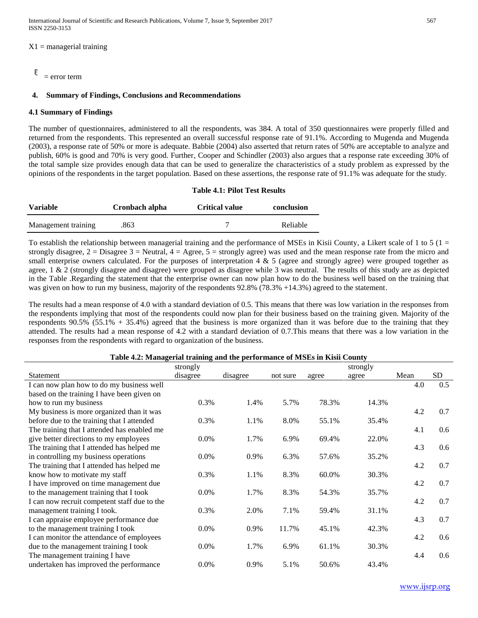$X1$  = managerial training

#### ε  $=$  error term

#### **4. Summary of Findings, Conclusions and Recommendations**

#### **4.1 Summary of Findings**

The number of questionnaires, administered to all the respondents, was 384. A total of 350 questionnaires were properly filled and returned from the respondents. This represented an overall successful response rate of 91.1%. According to Mugenda and Mugenda (2003), a response rate of 50% or more is adequate. Babbie (2004) also asserted that return rates of 50% are acceptable to analyze and publish, 60% is good and 70% is very good. Further, Cooper and Schindler (2003) also argues that a response rate exceeding 30% of the total sample size provides enough data that can be used to generalize the characteristics of a study problem as expressed by the opinions of the respondents in the target population. Based on these assertions, the response rate of 91.1% was adequate for the study.

|                     |                | <b>Table 4.1: Pilot Test Results</b> |            |  |  |  |
|---------------------|----------------|--------------------------------------|------------|--|--|--|
| <b>Variable</b>     | Cronbach alpha | <b>Critical value</b>                | conclusion |  |  |  |
| Management training | .863           |                                      | Reliable   |  |  |  |

To establish the relationship between managerial training and the performance of MSEs in Kisii County, a Likert scale of 1 to 5 (1 = strongly disagree,  $2 = Disagree 3 = Neutral$ ,  $4 = Age$ ee,  $5 = strongly agree$ ) was used and the mean response rate from the micro and small enterprise owners calculated. For the purposes of interpretation  $4 \& 5$  (agree and strongly agree) were grouped together as agree, 1 & 2 (strongly disagree and disagree) were grouped as disagree while 3 was neutral. The results of this study are as depicted in the Table .Regarding the statement that the enterprise owner can now plan how to do the business well based on the training that was given on how to run my business, majority of the respondents 92.8% (78.3% +14.3%) agreed to the statement.

The results had a mean response of 4.0 with a standard deviation of 0.5. This means that there was low variation in the responses from the respondents implying that most of the respondents could now plan for their business based on the training given. Majority of the respondents  $90.5\%$  (55.1% + 35.4%) agreed that the business is more organized than it was before due to the training that they attended. The results had a mean response of 4.2 with a standard deviation of 0.7.This means that there was a low variation in the responses from the respondents with regard to organization of the business.

| Table 4.2: Managerial training and the performance of MSEs in Kisii County |  |
|----------------------------------------------------------------------------|--|
|                                                                            |  |

|                                              | strongly |          |          |       | strongly |      |           |
|----------------------------------------------|----------|----------|----------|-------|----------|------|-----------|
| Statement                                    | disagree | disagree | not sure | agree | agree    | Mean | <b>SD</b> |
| I can now plan how to do my business well    |          |          |          |       |          | 4.0  | 0.5       |
| based on the training I have been given on   |          |          |          |       |          |      |           |
| how to run my business                       | 0.3%     | 1.4%     | 5.7%     | 78.3% | 14.3%    |      |           |
| My business is more organized than it was    |          |          |          |       |          | 4.2  | 0.7       |
| before due to the training that I attended   | 0.3%     | 1.1%     | 8.0%     | 55.1% | 35.4%    |      |           |
| The training that I attended has enabled me  |          |          |          |       |          | 4.1  | 0.6       |
| give better directions to my employees       | 0.0%     | 1.7%     | 6.9%     | 69.4% | 22.0%    |      |           |
| The training that I attended has helped me   |          |          |          |       |          | 4.3  | 0.6       |
| in controlling my business operations        | 0.0%     | 0.9%     | 6.3%     | 57.6% | 35.2%    |      |           |
| The training that I attended has helped me   |          |          |          |       |          | 4.2  | 0.7       |
| know how to motivate my staff                | 0.3%     | 1.1%     | 8.3%     | 60.0% | 30.3%    |      |           |
| I have improved on time management due       |          |          |          |       |          | 4.2  | 0.7       |
| to the management training that I took       | 0.0%     | 1.7%     | 8.3%     | 54.3% | 35.7%    |      |           |
| I can now recruit competent staff due to the |          |          |          |       |          | 4.2  | 0.7       |
| management training I took.                  | 0.3%     | 2.0%     | 7.1%     | 59.4% | 31.1%    |      |           |
| I can appraise employee performance due      |          |          |          |       |          | 4.3  | 0.7       |
| to the management training I took            | 0.0%     | 0.9%     | 11.7%    | 45.1% | 42.3%    |      |           |
| I can monitor the attendance of employees    |          |          |          |       |          | 4.2  | 0.6       |
| due to the management training I took        | $0.0\%$  | 1.7%     | 6.9%     | 61.1% | 30.3%    |      |           |
| The management training I have               |          |          |          |       |          | 4.4  | 0.6       |
| undertaken has improved the performance      | 0.0%     | 0.9%     | 5.1%     | 50.6% | 43.4%    |      |           |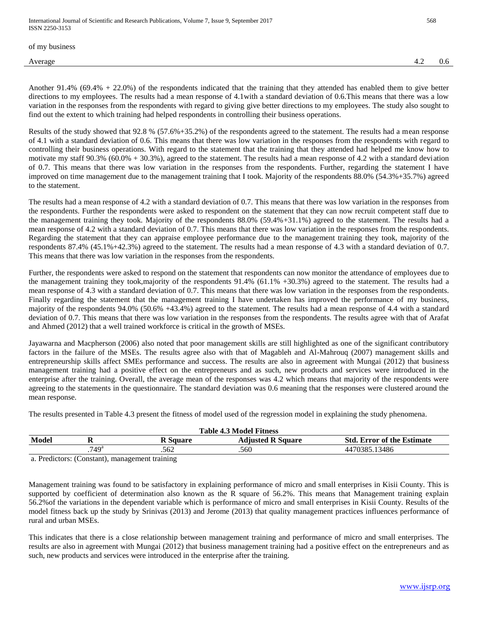of my business

Another 91.4% (69.4% + 22.0%) of the respondents indicated that the training that they attended has enabled them to give better directions to my employees. The results had a mean response of 4.1with a standard deviation of 0.6.This means that there was a low variation in the responses from the respondents with regard to giving give better directions to my employees. The study also sought to find out the extent to which training had helped respondents in controlling their business operations.

Results of the study showed that 92.8 % (57.6%+35.2%) of the respondents agreed to the statement. The results had a mean response of 4.1 with a standard deviation of 0.6. This means that there was low variation in the responses from the respondents with regard to controlling their business operations. With regard to the statement that the training that they attended had helped me know how to motivate my staff  $90.3\%$  (60.0% + 30.3%), agreed to the statement. The results had a mean response of 4.2 with a standard deviation of 0.7. This means that there was low variation in the responses from the respondents. Further, regarding the statement I have improved on time management due to the management training that I took. Majority of the respondents 88.0% (54.3%+35.7%) agreed to the statement.

The results had a mean response of 4.2 with a standard deviation of 0.7. This means that there was low variation in the responses from the respondents. Further the respondents were asked to respondent on the statement that they can now recruit competent staff due to the management training they took. Majority of the respondents 88.0% (59.4%+31.1%) agreed to the statement. The results had a mean response of 4.2 with a standard deviation of 0.7. This means that there was low variation in the responses from the respondents. Regarding the statement that they can appraise employee performance due to the management training they took, majority of the respondents 87.4% (45.1%+42.3%) agreed to the statement. The results had a mean response of 4.3 with a standard deviation of 0.7. This means that there was low variation in the responses from the respondents.

Further, the respondents were asked to respond on the statement that respondents can now monitor the attendance of employees due to the management training they took,majority of the respondents 91.4% (61.1% +30.3%) agreed to the statement. The results had a mean response of 4.3 with a standard deviation of 0.7. This means that there was low variation in the responses from the respondents. Finally regarding the statement that the management training I have undertaken has improved the performance of my business, majority of the respondents 94.0% (50.6% +43.4%) agreed to the statement. The results had a mean response of 4.4 with a standard deviation of 0.7. This means that there was low variation in the responses from the respondents. The results agree with that of Arafat and Ahmed (2012) that a well trained workforce is critical in the growth of MSEs.

Jayawarna and Macpherson (2006) also noted that poor management skills are still highlighted as one of the significant contributory factors in the failure of the MSEs. The results agree also with that of Magableh and Al-Mahrouq (2007) management skills and entrepreneurship skills affect SMEs performance and success. The results are also in agreement with Mungai (2012) that business management training had a positive effect on the entrepreneurs and as such, new products and services were introduced in the enterprise after the training. Overall, the average mean of the responses was 4.2 which means that majority of the respondents were agreeing to the statements in the questionnaire. The standard deviation was 0.6 meaning that the responses were clustered around the mean response.

The results presented in Table 4.3 present the fitness of model used of the regression model in explaining the study phenomena.

| <b>Table 4.3 Model Fitness</b>                                                            |                     |      |      |               |
|-------------------------------------------------------------------------------------------|---------------------|------|------|---------------|
| Model<br><b>Adjusted R Square</b><br><b>Std. Error of the Estimate</b><br><b>R</b> Square |                     |      |      |               |
|                                                                                           | $.749$ <sup>a</sup> | .562 | .560 | 4470385.13486 |
| ___                                                                                       |                     | . .  |      |               |

a. Predictors: (Constant), management training

Management training was found to be satisfactory in explaining performance of micro and small enterprises in Kisii County. This is supported by coefficient of determination also known as the R square of 56.2%. This means that Management training explain 56.2%of the variations in the dependent variable which is performance of micro and small enterprises in Kisii County. Results of the model fitness back up the study by Srinivas (2013) and Jerome (2013) that quality management practices influences performance of rural and urban MSEs.

This indicates that there is a close relationship between management training and performance of micro and small enterprises. The results are also in agreement with Mungai (2012) that business management training had a positive effect on the entrepreneurs and as such, new products and services were introduced in the enterprise after the training.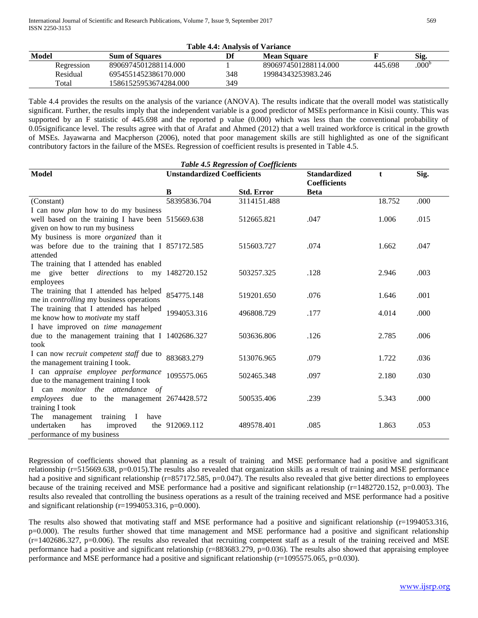| Table 4.4: Analysis of Variance |                       |     |                      |         |                   |
|---------------------------------|-----------------------|-----|----------------------|---------|-------------------|
| Model                           | <b>Sum of Squares</b> | Df  | <b>Mean Square</b>   |         | Sig.              |
| Regression                      | 8906974501288114.000  |     | 8906974501288114.000 | 445.698 | .000 <sup>t</sup> |
| Residual                        | 6954551452386170.000  | 348 | 19984343253983.246   |         |                   |
| Total                           | 15861525953674284.000 | 349 |                      |         |                   |

Table 4.4 provides the results on the analysis of the variance (ANOVA). The results indicate that the overall model was statistically significant. Further, the results imply that the independent variable is a good predictor of MSEs performance in Kisii county. This was supported by an F statistic of 445.698 and the reported p value (0.000) which was less than the conventional probability of 0.05significance level. The results agree with that of Arafat and Ahmed (2012) that a well trained workforce is critical in the growth of MSEs. Jayawarna and Macpherson (2006), noted that poor management skills are still highlighted as one of the significant contributory factors in the failure of the MSEs. Regression of coefficient results is presented in Table 4.5.

| <b>Table 4.5 Regression of Coefficients</b>                                          |                                    |                   |                                            |        |      |  |  |
|--------------------------------------------------------------------------------------|------------------------------------|-------------------|--------------------------------------------|--------|------|--|--|
| <b>Model</b>                                                                         | <b>Unstandardized Coefficients</b> |                   | <b>Standardized</b><br><b>Coefficients</b> | t      | Sig. |  |  |
|                                                                                      | B                                  | <b>Std. Error</b> | <b>Beta</b>                                |        |      |  |  |
| (Constant)                                                                           | 58395836.704                       | 3114151.488       |                                            | 18.752 | .000 |  |  |
| I can now <i>plan</i> how to do my business                                          |                                    |                   |                                            |        |      |  |  |
| well based on the training I have been 515669.638<br>given on how to run my business |                                    | 512665.821        | .047                                       | 1.006  | .015 |  |  |
| My business is more <i>organized</i> than it                                         |                                    |                   |                                            |        |      |  |  |
| was before due to the training that I 857172.585                                     |                                    | 515603.727        | .074                                       | 1.662  | .047 |  |  |
| attended                                                                             |                                    |                   |                                            |        |      |  |  |
| The training that I attended has enabled                                             |                                    |                   |                                            |        |      |  |  |
| me give better <i>directions</i> to my 1482720.152                                   |                                    | 503257.325        | .128                                       | 2.946  | .003 |  |  |
| employees                                                                            |                                    |                   |                                            |        |      |  |  |
| The training that I attended has helped                                              | 854775.148                         | 519201.650        | .076                                       | 1.646  | .001 |  |  |
| me in <i>controlling</i> my business operations                                      |                                    |                   |                                            |        |      |  |  |
| The training that I attended has helped                                              | 1994053.316                        | 496808.729        | .177                                       | 4.014  | .000 |  |  |
| me know how to <i>motivate</i> my staff                                              |                                    |                   |                                            |        |      |  |  |
| I have improved on time management                                                   |                                    |                   |                                            |        |      |  |  |
| due to the management training that I 1402686.327                                    |                                    | 503636.806        | .126                                       | 2.785  | .006 |  |  |
| took                                                                                 |                                    |                   |                                            |        |      |  |  |
| I can now recruit competent staff due to                                             | 883683.279                         | 513076.965        | .079                                       | 1.722  | .036 |  |  |
| the management training I took.                                                      |                                    |                   |                                            |        |      |  |  |
| I can appraise employee performance                                                  | 1095575.065                        | 502465.348        | .097                                       | 2.180  | .030 |  |  |
| due to the management training I took                                                |                                    |                   |                                            |        |      |  |  |
| I can <i>monitor</i> the attendance of                                               |                                    |                   |                                            |        |      |  |  |
| employees due to the management 2674428.572                                          |                                    | 500535.406        | .239                                       | 5.343  | .000 |  |  |
| training I took                                                                      |                                    |                   |                                            |        |      |  |  |
| management<br>training I<br>The<br>have<br>undertaken<br>has                         |                                    | 489578.401        | .085                                       |        |      |  |  |
| improved<br>performance of my business                                               | the 912069.112                     |                   |                                            | 1.863  | .053 |  |  |
|                                                                                      |                                    |                   |                                            |        |      |  |  |

Regression of coefficients showed that planning as a result of training and MSE performance had a positive and significant relationship (r=515669.638, p=0.015).The results also revealed that organization skills as a result of training and MSE performance had a positive and significant relationship (r=857172.585, p=0.047). The results also revealed that give better directions to employees because of the training received and MSE performance had a positive and significant relationship ( $r=1482720.152$ ,  $p=0.003$ ). The results also revealed that controlling the business operations as a result of the training received and MSE performance had a positive and significant relationship ( $r=1994053.316$ ,  $p=0.000$ ).

The results also showed that motivating staff and MSE performance had a positive and significant relationship (r=1994053.316, p=0.000). The results further showed that time management and MSE performance had a positive and significant relationship  $(r=1402686.327, p=0.006)$ . The results also revealed that recruiting competent staff as a result of the training received and MSE performance had a positive and significant relationship (r=883683.279, p=0.036). The results also showed that appraising employee performance and MSE performance had a positive and significant relationship (r=1095575.065, p=0.030).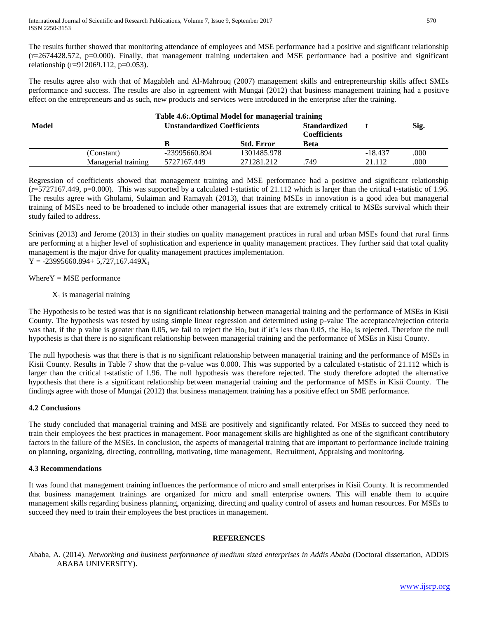The results further showed that monitoring attendance of employees and MSE performance had a positive and significant relationship  $(r=2674428.572, p=0.000)$ . Finally, that management training undertaken and MSE performance had a positive and significant relationship (r=912069.112, p=0.053).

The results agree also with that of Magableh and Al-Mahrouq (2007) management skills and entrepreneurship skills affect SMEs performance and success. The results are also in agreement with Mungai (2012) that business management training had a positive effect on the entrepreneurs and as such, new products and services were introduced in the enterprise after the training.

| Table 4.6: Optimal Model for managerial training |                     |                                    |                   |                                            |           |      |
|--------------------------------------------------|---------------------|------------------------------------|-------------------|--------------------------------------------|-----------|------|
| <b>Model</b>                                     |                     | <b>Unstandardized Coefficients</b> |                   | <b>Standardized</b><br><b>Coefficients</b> |           | Sig. |
|                                                  |                     |                                    | <b>Std. Error</b> | Beta                                       |           |      |
|                                                  | (Constant)          | -23995660.894                      | 1301485.978       |                                            | $-18.437$ | .000 |
|                                                  | Managerial training | 5727167.449                        | 271281.212        | 749                                        | 21.112    | .000 |

Regression of coefficients showed that management training and MSE performance had a positive and significant relationship  $(r=5727167.449, p=0.000)$ . This was supported by a calculated t-statistic of 21.112 which is larger than the critical t-statistic of 1.96. The results agree with Gholami, Sulaiman and Ramayah (2013), that training MSEs in innovation is a good idea but managerial training of MSEs need to be broadened to include other managerial issues that are extremely critical to MSEs survival which their study failed to address.

Srinivas (2013) and Jerome (2013) in their studies on quality management practices in rural and urban MSEs found that rural firms are performing at a higher level of sophistication and experience in quality management practices. They further said that total quality management is the major drive for quality management practices implementation.

 $Y = -23995660.894 + 5,727,167.449X_1$ 

### $WhereY = MSE$  performance

#### $X_1$  is managerial training

The Hypothesis to be tested was that is no significant relationship between managerial training and the performance of MSEs in Kisii County. The hypothesis was tested by using simple linear regression and determined using p-value The acceptance/rejection criteria was that, if the p value is greater than 0.05, we fail to reject the H<sub>O1</sub> but if it's less than 0.05, the H<sub>O1</sub> is rejected. Therefore the null hypothesis is that there is no significant relationship between managerial training and the performance of MSEs in Kisii County.

The null hypothesis was that there is that is no significant relationship between managerial training and the performance of MSEs in Kisii County. Results in Table 7 show that the p-value was 0.000. This was supported by a calculated t-statistic of 21.112 which is larger than the critical t-statistic of 1.96. The null hypothesis was therefore rejected. The study therefore adopted the alternative hypothesis that there is a significant relationship between managerial training and the performance of MSEs in Kisii County. The findings agree with those of Mungai (2012) that business management training has a positive effect on SME performance.

#### **4.2 Conclusions**

The study concluded that managerial training and MSE are positively and significantly related. For MSEs to succeed they need to train their employees the best practices in management. Poor management skills are highlighted as one of the significant contributory factors in the failure of the MSEs. In conclusion, the aspects of managerial training that are important to performance include training on planning, organizing, directing, controlling, motivating, time management, Recruitment, Appraising and monitoring.

#### **4.3 Recommendations**

It was found that management training influences the performance of micro and small enterprises in Kisii County. It is recommended that business management trainings are organized for micro and small enterprise owners. This will enable them to acquire management skills regarding business planning, organizing, directing and quality control of assets and human resources. For MSEs to succeed they need to train their employees the best practices in management.

#### **REFERENCES**

Ababa, A. (2014). *Networking and business performance of medium sized enterprises in Addis Ababa* (Doctoral dissertation, ADDIS ABABA UNIVERSITY).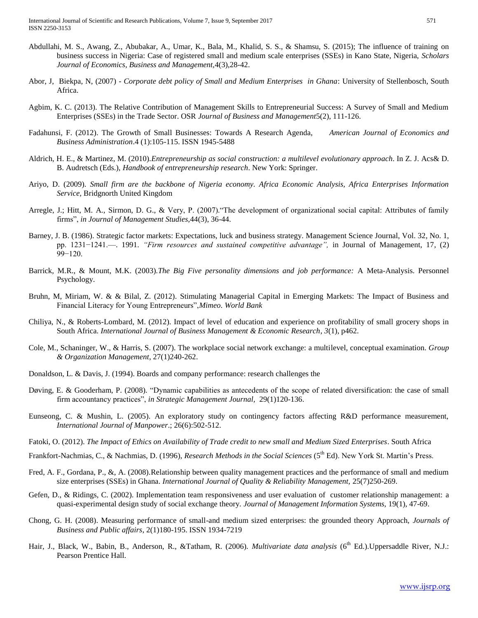- Abdullahi, M. S., Awang, Z., Abubakar, A., Umar, K., Bala, M., Khalid, S. S., & Shamsu, S. (2015); The influence of training on business success in Nigeria: Case of registered small and medium scale enterprises (SSEs) in Kano State, Nigeria, *Scholars Journal of Economics, Business and Management,*4(3),28-42.
- Abor, J, Biekpa, N, (2007) *Corporate debt policy of Small and Medium Enterprises in Ghana*: University of Stellenbosch, South Africa.
- Agbim, K. C. (2013). The Relative Contribution of Management Skills to Entrepreneurial Success: A Survey of Small and Medium Enterprises (SSEs) in the Trade Sector. OSR *Journal of Business and Management*5(2), 111-126.
- Fadahunsi, F. (2012). The Growth of Small Businesses: Towards A Research Agenda, *American Journal of Economics and Business Administration*.4 (1):105-115. ISSN 1945-5488
- Aldrich, H. E., & Martinez, M. (2010).*Entrepreneurship as social construction: a multilevel evolutionary approach*. In Z. J. Acs& D. B. Audretsch (Eds.), *Handbook of entrepreneurship research*. New York: Springer.
- Ariyo, D. (2009). *Small firm are the backbone of Nigeria economy. Africa Economic Analysis, Africa Enterprises Information Service,* Bridgnorth United Kingdom
- Arregle, J.; Hitt, M. A., Sirmon, D. G., & Very, P. (2007)."The development of organizational social capital: Attributes of family firms", *in Journal of Management Studies,*44(3), 36-44.
- Barney, J. B. (1986). Strategic factor markets: Expectations, luck and business strategy. Management Science Journal, Vol. 32, No. 1, pp. 1231−1241.—. 1991. *"Firm resources and sustained competitive advantage",* in Journal of Management, 17, (2) 99−120.
- Barrick, M.R., & Mount, M.K. (2003).*The Big Five personality dimensions and job performance:* A Meta-Analysis. Personnel Psychology.
- Bruhn, M, Miriam, W. & & Bilal, Z. (2012). Stimulating Managerial Capital in Emerging Markets: The Impact of Business and Financial Literacy for Young Entrepreneurs",*Mimeo. World Bank*
- Chiliya, N., & Roberts-Lombard, M. (2012). Impact of level of education and experience on profitability of small grocery shops in South Africa. *International Journal of Business Management & Economic Research*, *3*(1), p462.
- Cole, M., Schaninger, W., & Harris, S. (2007). The workplace social network exchange: a multilevel, conceptual examination. *Group & Organization Management*, 27(1)240-262.
- Donaldson, L. & Davis, J. (1994). Boards and company performance: research challenges the
- Døving, E. & Gooderham, P. (2008)*.* "Dynamic capabilities as antecedents of the scope of related diversification: the case of small firm accountancy practices", *in Strategic Management Journal,* 29(1)120-136.
- Eunseong, C. & Mushin, L. (2005). An exploratory study on contingency factors affecting R&D performance measurement, *International Journal of Manpower*.; 26(6):502-512.
- Fatoki, O. (2012). *The Impact of Ethics on Availability of Trade credit to new small and Medium Sized Enterprises*. South Africa
- Frankfort-Nachmias, C., & Nachmias, D. (1996), *Research Methods in the Social Sciences* (5th Ed). New York St. Martin's Press.
- Fred, A. F., Gordana, P., &, A. (2008).Relationship between quality management practices and the performance of small and medium size enterprises (SSEs) in Ghana. *International Journal of Quality & Reliability Management*, 25(7)250-269.
- Gefen, D., & Ridings, C. (2002). Implementation team responsiveness and user evaluation of customer relationship management: a quasi-experimental design study of social exchange theory*. Journal of Management Information Systems,* 19(1), 47-69.
- Chong, G. H. (2008). Measuring performance of small-and medium sized enterprises: the grounded theory Approach, *Journals of Business and Public affairs*, 2(1)180-195. ISSN 1934-7219
- Hair, J., Black, W., Babin, B., Anderson, R., &Tatham, R. (2006). *Multivariate data analysis* (6<sup>th</sup> Ed.). Uppersaddle River, N.J.: Pearson Prentice Hall.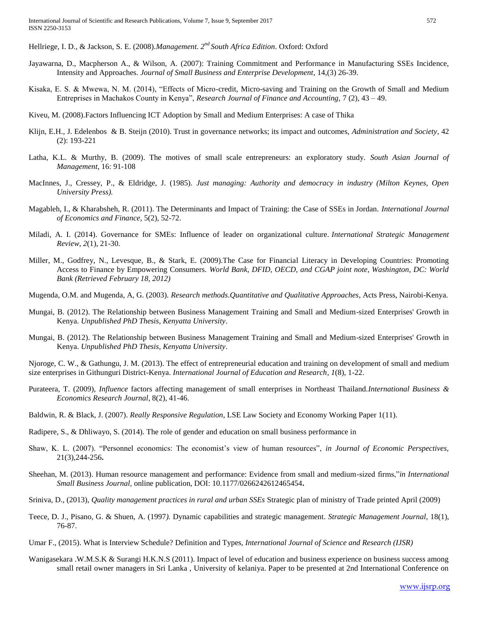Hellriege, I. D., & Jackson, S. E. (2008).*Management. 2nd South Africa Edition*. Oxford: Oxford

- Jayawarna, D., Macpherson A., & Wilson, A. (2007): Training Commitment and Performance in Manufacturing SSEs Incidence, Intensity and Approaches. *Journal of Small Business and Enterprise Development*, 14,(3) 26-39.
- Kisaka, E. S. & Mwewa, N. M. (2014), "Effects of Micro-credit, Micro-saving and Training on the Growth of Small and Medium Entreprises in Machakos County in Kenya", *Research Journal of Finance and Accounting,* 7 (2), 43 – 49.
- Kiveu, M. (2008).Factors Influencing ICT Adoption by Small and Medium Enterprises: A case of Thika
- Klijn, E.H., J. Edelenbos & B. Steijn (2010). Trust in governance networks; its impact and outcomes, *Administration and Society*, 42 (2): 193-221
- Latha, K.L. & Murthy, B. (2009). The motives of small scale entrepreneurs: an exploratory study. *South Asian Journal of Management*, 16: 91-108
- MacInnes, J., Cressey, P., & Eldridge, J. (1985). *Just managing: Authority and democracy in industry (Milton Keynes, Open University Press).*
- Magableh, I., & Kharabsheh, R. (2011). The Determinants and Impact of Training: the Case of SSEs in Jordan. *International Journal of Economics and Finance,* 5(2), 52-72.
- Miladi, A. I. (2014). Governance for SMEs: Influence of leader on organizational culture. *International Strategic Management Review*, *2*(1), 21-30.
- Miller, M., Godfrey, N., Levesque, B., & Stark, E. (2009).The Case for Financial Literacy in Developing Countries: Promoting Access to Finance by Empowering Consumers. *World Bank, DFID, OECD, and CGAP joint note, Washington, DC: World Bank (Retrieved February 18, 2012)*
- Mugenda, O.M. and Mugenda, A, G. (2003). *Research methods*.*Quantitative and Qualitative Approaches*, Acts Press, Nairobi-Kenya.
- Mungai, B. (2012). The Relationship between Business Management Training and Small and Medium-sized Enterprises' Growth in Kenya. *Unpublished PhD Thesis, Kenyatta University*.
- Mungai, B. (2012). The Relationship between Business Management Training and Small and Medium-sized Enterprises' Growth in Kenya. *Unpublished PhD Thesis, Kenyatta University*.

Njoroge, C. W., & Gathungu, J. M. (2013). The effect of entrepreneurial education and training on development of small and medium size enterprises in Githunguri District-Kenya. *International Journal of Education and Research*, *1*(8), 1-22.

- Purateera, T. (2009), *Influence* factors affecting management of small enterprises in Northeast Thailand.*International Business & Economics Research Journal*, 8(2), 41-46.
- Baldwin, R. & Black, J. (2007). *Really Responsive Regulation*, LSE Law Society and Economy Working Paper 1(11).
- Radipere, S., & Dhliwayo, S. (2014). The role of gender and education on small business performance in
- Shaw, K. L. (2007). "Personnel economics: The economist's view of human resources", *in Journal of Economic Perspectives,*  21(3),244-256**.**
- Sheehan, M. (2013). Human resource management and performance: Evidence from small and medium-sized firms,"*in International Small Business Journal,* online publication, DOI: 10.1177/0266242612465454**.**
- Sriniva, D., (2013), *Quality management practices in rural and urban SSEs* Strategic plan of ministry of Trade printed April (2009)
- Teece, D. J., Pisano, G. & Shuen, A. (1997*).* Dynamic capabilities and strategic management. *Strategic Management Journal,* 18(1), 76-87.
- Umar F., (2015). What is Interview Schedule? Definition and Types, *International Journal of Science and Research (IJSR)*
- Wanigasekara .W.M.S.K & Surangi H.K.N.S (2011). Impact of level of education and business experience on business success among small retail owner managers in Sri Lanka , University of kelaniya. Paper to be presented at 2nd International Conference on